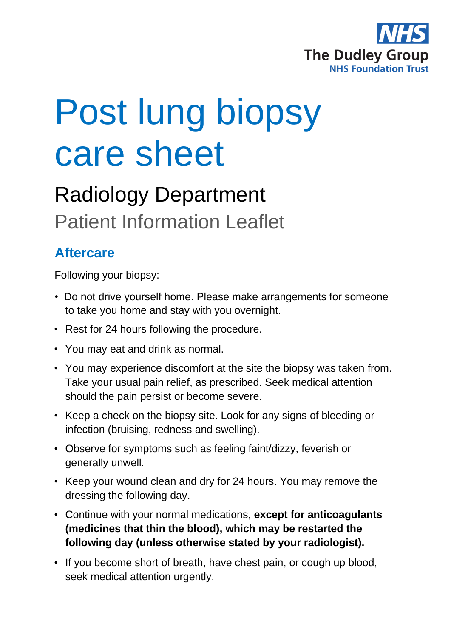

# Post lung biopsy care sheet

## Radiology Department Patient Information Leaflet

### **Aftercare**

Following your biopsy:

- Do not drive yourself home. Please make arrangements for someone to take you home and stay with you overnight.
- Rest for 24 hours following the procedure.
- You may eat and drink as normal.
- You may experience discomfort at the site the biopsy was taken from. Take your usual pain relief, as prescribed. Seek medical attention should the pain persist or become severe.
- Keep a check on the biopsy site. Look for any signs of bleeding or infection (bruising, redness and swelling).
- Observe for symptoms such as feeling faint/dizzy, feverish or generally unwell.
- Keep your wound clean and dry for 24 hours. You may remove the dressing the following day.
- Continue with your normal medications, **except for anticoagulants (medicines that thin the blood), which may be restarted the following day (unless otherwise stated by your radiologist).**
- If you become short of breath, have chest pain, or cough up blood, seek medical attention urgently.